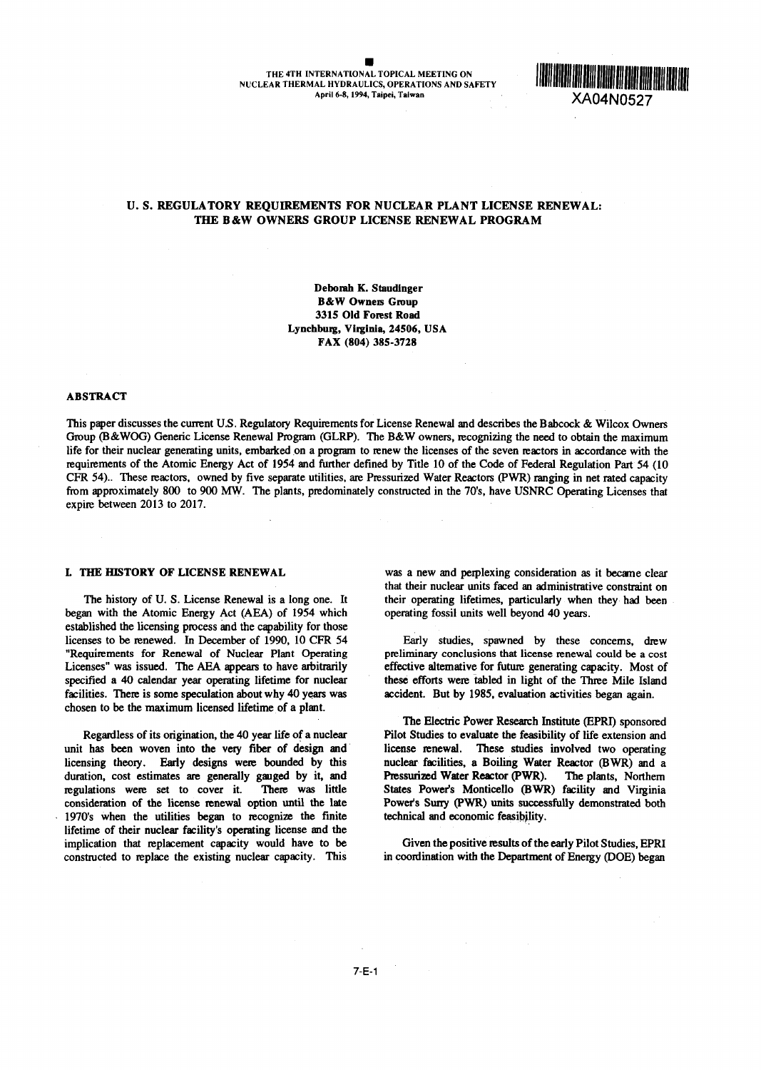### 0 THE 4TH INTERNATIONAL TOPICAL MEETING ON NUCLEAR THERMAL HYDRAULICS, OPERATIONS AND SA TERNATIONAL TOPICAL MEETING ON<br>AL HYDRAULICS, OPERATIONS AND SAFETY XA04N0527<br>April 6-8, 1994, Taipei, Taiwan FETY XA04N0527

# U. S. REGULATORY REQUIREMENTS FOR NUCLEAR PLANT LICENSE RENEWAL: THE B&W OWNERS GROUP LICENSE RENEWAL PROGRAM

Deborah K. Staudinger B&W Owners Group 3315 Old Forest Road Lynchburg, Virginia, 24506, USA FAX 804) 385-3728

### ABSTRACT

This paper discusses the current U.S. Regulatory Requirements for License Renewal and describes the Babcock & Wilcox Owners Group (B&WOG) Generic License Renewal Program (GLRP). The B&W owners, recognizing the need to obtain the maximum life for their nuclear generating units, embarked on a program to renew the licenses of the seven reactors in accordance with the requirements of the Atomic Energy Act of 1954 and further defined by Title 10 of the Code of Federal Regulation Part 54 (10 CFR 54).. These reactors, owned by five separate utilities, are Pressurized Water Reactors PYrR) ranging in net rated capacity from approximately 800 to 900 MW. The plants, predominately constructed in the 70's, have USNRC Operating Licenses that expire between 2013 to 2017.

began with the Atomic Energy Act (AEA) of 1954 which operating fossil units well beyond 40 years. established the licensing process and the capability for those licenses to be renewed. In December of 1990, 10 CFR 54 Early studies, spawned by these concerns, drew "Requirements for Renewal of Nuclear Plant Operating preliminary conclusions that license renewal could be a cost Licenses" was issued. The AEA appears to have arbitrarily effective alternative for future generating capacity. Most of specified a 40 calendar year operating lifetime for nuclear these efforts were tabled in light of the Three Mile Island facilities. There is some speculation about why 40 years was accident. But by 1985, evaluation activities began again. chosen to be the maximum licensed lifetime of a plant.

unit has been woven into the very fiber of design and license renewal. These studies involved two operating licensing theory. Early designs were bounded by this nuclear facilities, a Boiling Water Reactor (BWR) and a duration, cost estimates are generally gauged by it, and Pressurized Water Reactor (PWR). The plants, Northern duration, cost estimates are generally gauged by it, and Pressurized Water Reactor (PWR). The plants, Northern regulations were set to cover it. There was little States Power's Monticello (BWR) facility and Virginia consideration of the license renewal option until the late Power's Surry (PWR) units successfully demonstrated both 1970's when the utilities began to ecognize the finite technical and economic feasibility. lifetime of their nuclear facility's operating license and the implication that replacement capacity would have to be Given the positive results of the early Pilot Studies, EPRI constructed to replace the existing nuclear capacity. This in coordination with the Department of Energy (DOE) began

L THE HISTORY OF LICENSE RENEWAL was a new and perplexing consideration as it became clear that their nuclear units faced an administrative constraint on The history of U. S. License Renewal is a long one. It their operating lifetimes, particularly when they had been

The Electric Power Research Institute (EPRI) sponsored Regardless of its origination, the 40 year life of a nuclear Pilot Studies to evaluate the feasibility of life extension and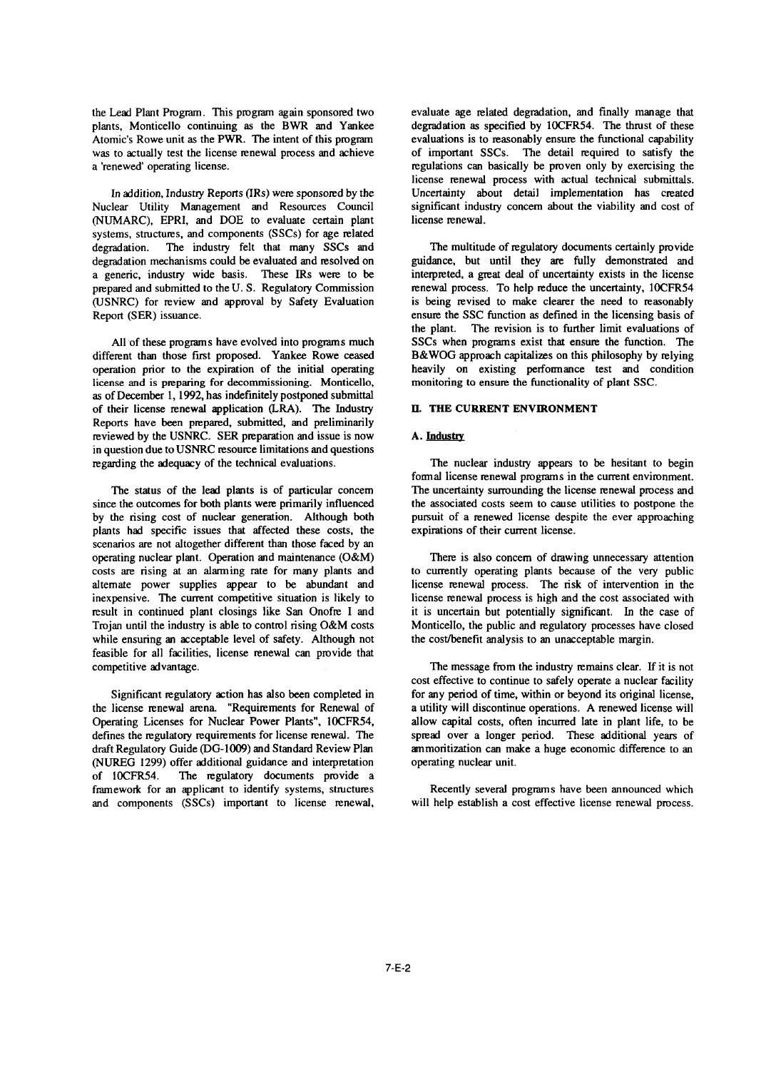was to actually test the license renewal process and achieve

(NUMARC), EPRI, and DOE to evaluate certain plant license renewal. systems, structures, and components (SSCs) for age elated degradation. The industry felt that many SSCs and The multitude of regulatory documents certainly provide degradation mechanisms could be evaluated and resolved on guidance, but until they are fully demonstrated and a generic, industry wide basis. These IRs were to be interpreted, a great deal of uncertainty exists in the lice a generic, industry wide basis. These IRs were to be interpreted, a great deal of uncertainty exists in the license prepared and submitted to the U.S. Regulatory Commission renewal process. To help reduce the uncertainty, prepared and submitted to the U.S. Regulatory Commission (USNRC) for review and approval by Safety Evaluation is being revised to make clearer the need to reasonably Report (SER) issuance. ensure the SSC function as defined in the licensing basis of

different than those first proposed. Yankee Rowe ceased B&WOG approach capitalizes on this philosophy by relying operation prior to the expiration of the initial operating heavily on existing performance test and condition license and is preparing for decommissioning. Monticello, monitoring to ensure the functionality of plant SSC. as of December 1, 1992, has indefinitely postponed submittal of their license renewal application (LRA). The Industry IL THE CURRENT ENVIRONMENT Reports have been prepared, submitted, and preliminarily reviewed by the USNRC. SER preparation and issue is now A. Industry in question due to USNRC resource limitations and questions regarding the adequacy of the technical evaluations. The nuclear industry appears to be hesitant to begin

since the outcomes for both plants were primarily influenced the associated costs seem to cause utilities to postpone the by the rising cost of nuclear generation. Although both pursuit of a renewed license despite the ever approaching plants had specific issues that affected these costs, the expirations of their current license. plants had specific issues that affected these costs, the scenarios are not altogether different than those faced by an operating nuclear plant. Operation and maintenance (O&M) costs are rising at an alarming rate for many plants and to currently operating plants because of the very public alternate power supplies appear to be abundant and license renewal process. The risk of intervention in the alternate power supplies appear to be abundant and inexpensive. The current competitive situation is likely to license renewal process is high and the cost associated with result in continued plant closings like San Onofre I and it is uncertain but potentially significant. In the case of Trojan until the industry is able to control rising O&M costs Monticello, the public and regulatory processes have closed while ensuring an acceptable level of safety. Although not the cost/benefit analysis to an unacceptable margin. feasible for all facilities, license renewal can provide that

the license renewal arena. "Requirements for Renewal of a utility will discontinue operations. A renewed license will Operating Licenses for Nuclear Power Plants", 10CFR54, allow capital costs, often incurred late in plant life, to be defines the regulatory requirements for license renewal. The spread over a longer period. These additional years of draft Regulatory Guide (DG-1009) and Standard Review Plan ammoritization can make a huge economic difference to an (NUREG 1299) offer additional guidance and interpretation operating nuclear unit. of l0CFR54. The regulatory documents provide a framework for an applicant to identify systems, structures Recently several programs have been announced which and components (SSCs) important to license renewal, will help establish a cost effective license renewal process.

the Lead Plant Program. This program again sponsored two evaluate age elated degradation, and finally manage that plants, Monticello continuing as the BWR and Yankee degradation as specified by l0CFR54. The thrust of these Atomic's Rowe unit as the PWR. The intent of this program evaluations is to reasonably ensure the functional capability was to actually test the license renewal process and achieve of important SSCs. The detail required to a 'renewed' operating license. regulations can basically be proven only by exercising the license renewal process with actual technical submittals. In addition, Industry Reports (IRs) were sponsored by the Uncertainty about detail implementation has created Nuclear Utility Management and Resources Council significant industry concern about the viability and cost of

the plant. The revision is to further limit evaluations of All of these programs have evolved into programs much SSCs when programs exist that ensure the function. The

formal license renewal programs in the current environment. The status of the lead plants is of particular concern The uncertainty surrounding the license renewal process and

There is also concern of drawing unnecessary attention

competitive advantage. The message from the industry remains clear. If it is not cost effective to continue to safely operate a nuclear facility Significant regulatory action has also been completed in for any period of time, within or beyond its original license,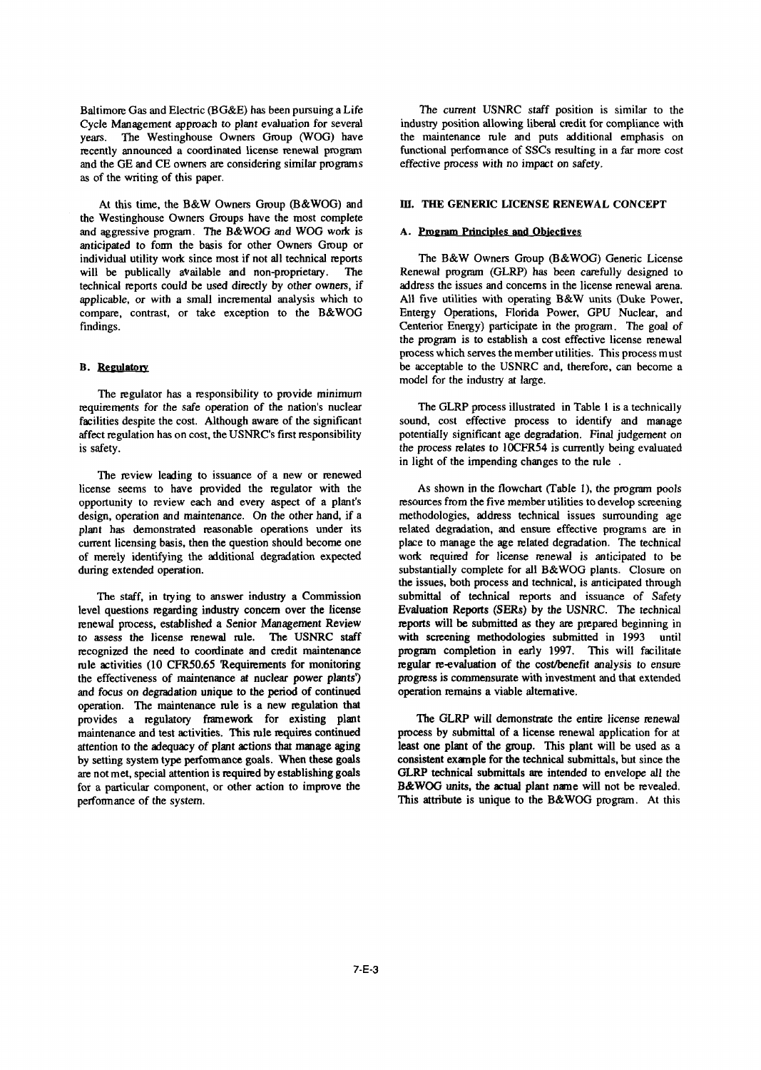Cycle Management approach to plant evaluation for several industry position allowing liberal credit for compliance with years. The Westinghouse Owners Group (WOG) have the maintenance rule and puts additional emphasis on years. The Westinghouse Owners Group (WOG) have the maintenance rule and puts additional emphasis on recently announced a coordinated license renewal program functional performance of SSCs resulting in a far more cost recently announced a coordinated license renewal program and the GE and CE owners are considering similar programs effective process with no impact on safety. as of the writing of this paper.

the Westinghouse Owners Groups have the most complete and aggressive program. The B&WOG and WOG work is A. Program Principles and Objectives anticipated to form the basis for other Owners Group or individual utility work since most if not all technical reports The B&W Owners Group (B&WOG) Generic License will be publically available and non-proprietary. The Renewal program (GLRP) has been carefully designed to technical reports could be used directly by other owners, if address the issues and concerns in the license renewal arena. applicable, or with a small incremental analysis which to All five utilities with operating B&W units (Duke Power, compare, contrast, or take exception to the B&WOG Entergy Operations, Florida Power, GPU Nuclear, and compare, contrast, or take exception to the B&WOG findings. Centerior Energy) participate in the program. The goal of

The regulator has a responsibility to provide *minimum* requirements for the safe operation of the nation's nuclear The GLRP process illustrated in Table 1 is a technically facilities despite the cost. Although aware of the significant sound, cost effective process to identify and manage affect regulation has on cost, the USNRC's first responsibility potentially significant age degradation. Final judgement on

The review leading to issuance of a new or renewed license seems to have provided the regulator with the As shown in the flowchart (Table 1), the program pools opportunity to review each and every aspect of a plant's resources from the five member utilities to develop screening design, operation and maintenance. On the other hand, if a methodologies, address technical issues surrounding age plant has demonstrated reasonable operations under its related degradation, and ensure effective programs are in current licensing basis, then the question should become one place to manage the age related degradation. The technical of merely identifying the additional degradation expected work required for license renewal is anticipated to be

level questions regarding industry concern over the license Evaluation Reports (SERs) by the USNRC. The technical renewal process, established a Senior Management Review reports will be submitted as they are prepared beginning in to *assess* the license renewal rule. The USNRC staff with screening methodologies submitted in 1993 until recognized the need to coordinate and credit maintenance program completion in early 1997. This will facilitate rule activities (10 CFR50.65 Requirements for monitoring regular re-evaluation of the cost/benefit analysis to ensure the effectiveness of maintenance at nuclear power plants) progress is commensurate with investment and that extended *and focus* on degradation unique to the period of continued operation remains a viable alternative. operation. The maintenance rule is a new regulation that provides a regulatory framework for existing plant The GLRP will demonstrate the entire license renewal maintenance and test activities. This rule equires continued process by submittal of a license renewal application for at attention to the adequacy of plant actions that manage aging least one plant of the group. This plant will be used as a by setting system type performance goals. When these goals consistent example for the technical submittals, but since the are not met, special attention is required by establishing goals GLRP technical submittals are intended to envelope all the for a particular component, or other action to improve the B&WOG units, the actual plant name will not be revealed. performance of the system. This attribute is unique to the B&WOG program. At this

Baltimore Gas and Electric (BG&E) has been pursuing a Life The current USNRC staff position is similar to the Cycle Management approach to plant evaluation for several industry position allowing liberal credit for complian

# At this time, the B&W Owners Group (B&WOG) and **III. THE GENERIC LICENSE RENEWAL CONCEPT**

the program is to establish a cost effective license renewal process which serves the member utilities. This process must B. Regulatory be acceptable to the USNRC and, therefore, can become a model for the industry at large.

is safety. the process relates to 10CFR54 is currently being evaluated in light of the impending changes to the rule.

during extended operation. Substantially complete for all B&WOG plants. Closure on the issues, both process and technical, is anticipated through The staff, in trying to answer industry a Commission submittal of technical reports and issuance of Safety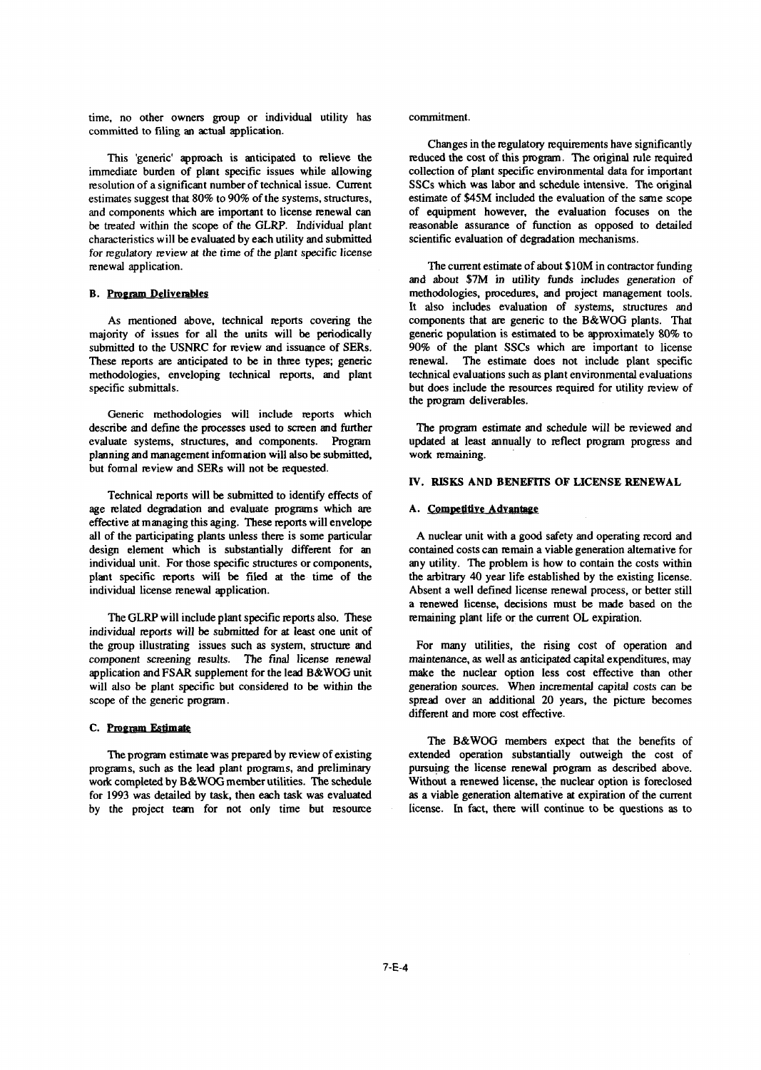time, no other owners group or individual utility has commitment. committed to filing an actual application.

immediate burden of plant specific issues while allowing collection of plant specific environmental data for important resolution of a significant number of technical issue. Current SSCs which was labor and schedule intens resolution of a significant number of technical issue. Current SSCs which was labor and schedule intensive. The original estimates suggest that 80% to 90% of the systems, structures, estimate of \$45M included the evaluatio estimates suggest that 80% to 90% of the systems, structures, and components which are important to license renewal can of equipment however, the evaluation focuses on the be treated within the scope of the GLRP. Individual plant reasonable assurance of function as opposed to detailed characteristics will be evaluated by each utility and submitted scientific evaluation of degradation mechanisms. *for regulatory* review at the time of the plant specific license renewal application. The current estimate of about \$10M in contractor funding

majority of issues for all the units will be periodically generic population is estimated to be approximately 80% to submitted to the USNRC for review and issuance of SERs. 90% of the plant SSCs which are important to lice submitted to the USNRC for review and issuance of SERs. 90% of the plant SSCs which are important to license<br>These reports are anticipated to be in three types; generic renewal. The estimate does not include plant specific These reports are anticipated to be in three types; generic renewal. methodologies, enveloping technical reports, and plant technical evaluations such as plant environmental evaluations specific submittals. **but does include the resources required for utility review of** 

Generic methodologies **will** include reports which describe and define the processes used to screen and further The program estimate and schedule will be reviewed and evaluate systems, strictures, and components. Program updated **at** least annually to reflect program pgress and planning and management information will also be submitted, work remaining. but formal review and SERs will not be requested.

Technical reports will be submitted to identify effects of age related degradation and evaluate programs which are **A. Competitive Advantage** effective at managing this aging. These reports will envelope all of the participating plants unless them is some particular A nuclear unit with a good safety and operating record and design element which is substantially different for an contained costs can remain a viable generation alternative for individual unit. For those specific structures or components, any utility. The problem is how to contain the costs within plant specific reports will be filed at the time of the the arbitrary 40 year life established by the existing license. individual license renewal application. Absent a well defined license renewal process, or better still

The GLRP will include plant specific reports also. These remaining plant life or the current OL expiration. individual reports will be submitted for at least one unit of the group illustrating issues such as system, structure and For many utilities, the rising cost of operation and component *screening results.* The final license renewal maintenance, as well as anticipated capital expenditures, may application and FSAR supplement for the lead B&WOG unit make the nuclear option less cost effective than other<br>will also be plant specific but considered to be within the generation sources. When incremental capital costs will also be plant specific but considered to be within the scope of the generic program. Spread over an additional 20 years, the picture becomes

# C. **Poemin Estimate**

programs, such as the lead plant programs, and preliminary work completed by B&WOG member utilities. The schedule Without a renewed license, the nuclear option is foreclosed for 1993 was detailed by task, then each task was evaluated as a viable generation alternative at expiration of the current by the project team for not only time but resource license. In fact, there will continue to be questions as to

Changes in the regulatory requirements have significantly This 'generic' approach is anticipated to relieve the reduced the cost of this program. The original rule required

and about \$7M in utility funds includes generation of **B. Program Deliverables methodologies, procedures, and project management tools.** It also includes evaluation of systems, structures and As mentioned above, technical reports covering the components that are generic to the B&WOG plants. That the program deliverables.

### IV. RISKS AND BENEFITS OF LICENSE RENEWAL

**a** renewed license, decisions must be made based on the

different and more cost effective.

The B&WOG members expect that the benefits of The program estimate was prepared by review of existing extended operation substantially outweigh the cost of grams, such as the lead plant programs, and preliminary pursuing the license renewal program as described above.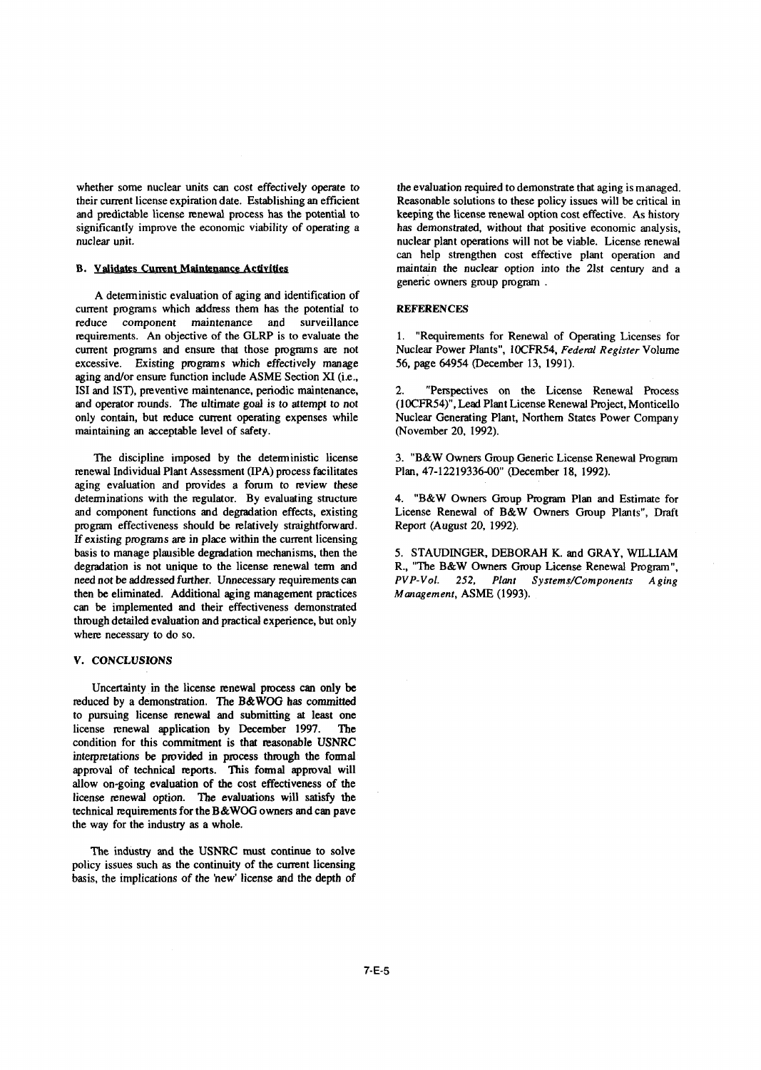whether some nuclear units can cost effectively operate to the evaluation required to demonstrate that aging is managed. their current license expiration date. Establishing an efficient Reasonable solutions to these policy issues will be critical in and predictable license renewal process has the potential to keeping the license renewal option cost effective. As history significantly improve the economic viability of operating a has demonstrated, without that positive economic analysis,<br>nuclear unit.<br>nuclear plant operations will not be viable. License renewal

A deterministic evaluation of aging and identification of current programs which address them has the potential to REFERENCES reduce component maintenance and surveillance<br>requirements. An objective of the GLRP is to evaluate the current programs and ensure that those programs are not Nuclear Power Plants", 10CFR54, *Federacesive.* Existing programs which effectively manage 56, page 64954 (December 13, 1991). excessive. Existing programs which effectively manage aging and/or ensure function include ASME Section XI (i.e., ISI and IST), preventive maintenance, periodic maintenance, 2. "Perspectives on the License Renewal Process and operator rounds. The ultimate goal is to attempt to not (10CFR54)", Lead Plant License Renewal Project, Montic and operator rounds. The ultimate goal is to attempt to not only contain, but reduce current operating expenses while Nuclear Generating Plant, Northern States Power Company maintaining an acceptable level of safety. (November 20, 1992).

renewal Individual Plant Assessment (IPA) process facilitates aging evaluation and provides a forum to review these determinations with the regulator. By evaluating structure 4. "B&W Owners Group Program Plan and Estimate for and component functions and degradation effects, existing License Renewal of B&W Owners Group Plants", Draft and component functions and degradation effects, existing program effectiveness should be relatively straightforward. Report (August 20, 1992). If existing programs are in place within the current licensing basis to manage plausible degradation mechanisms, then the 5. STAUDINGER, DEBORAH K. and GRAY, WLLIAM degradation is not unique to the license renewal term and R., "The B&W Owners Group License Renewal Program", need not be addressed further. Unnecessary requirements can  $PVP-Vol.$  252, Plant Systems/Components A ging then be eliminated. Additional aging management practices *Management,* ASME 1993). can be implemented and their effectiveness demonstrated through detailed evaluation and practical experience, but only where necessary to do so.

### V. CONCLUSIONS

Uncertainty in the license renewal process can only be reduced by a demonstration. 7he B&WOG has committed to pursuing license renewal and submitting at least one license renewal application by December 1997. The condition for this commitment is that reasonable USNRC interpretations be provided in process through the formal approval of technical reports. This formal approval will allow on-going evaluation of the cost effectiveness of the license renewal option. The evaluations will satisfy the technical requirements for the B&WOG owners and can pave the way for the industry as a whole.

The industry and the USNRC must continue to solve policy issues such as the continuity of the current licensing basis, the implications of the 'new' license and the depth of

nuclear plant operations will not be viable. License renewal can help strengthen cost effective plant operation and B. Validates Current Maintenance Activities maintain the nuclear option into the 21st century and a generic owners group program

1. "Requirements for Renewal of Operating Licenses for Nuclear Power Plants", 10CFR54, Federal Register Volume

The discipline imposed by the deterministic license 3. "B&W Owners Group Generic License Renewal Program wal Individual Plant Assessment (IPA) process facilitates Plan, 47-12219336-00" (December 18, 1992).

need not be addressed further. Unnecessary requirements can *PVP-Vol. 252,* Plant *SysternslComponents A ging*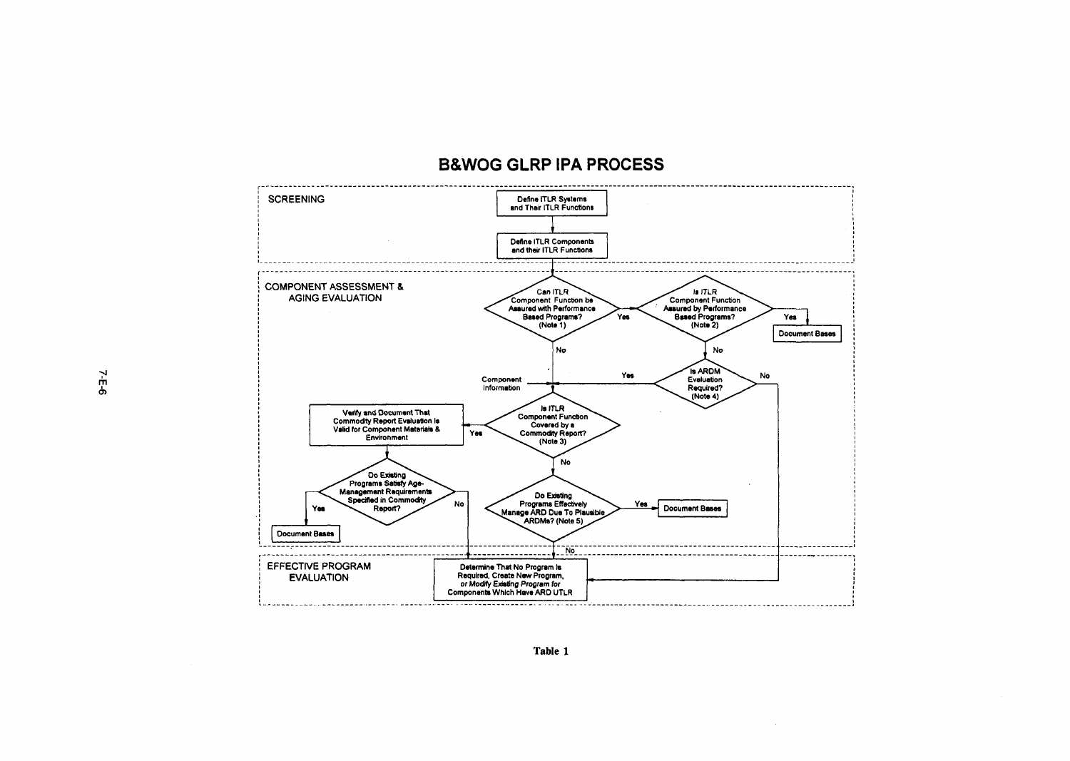# B&WOG GLRP IPA PROCESS



Table 1